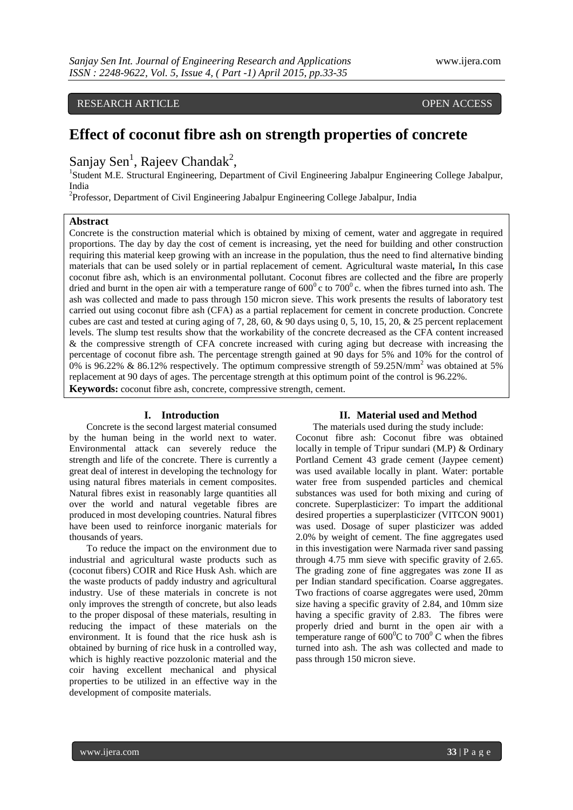RESEARCH ARTICLE **CONSERVERS** OPEN ACCESS

# **Effect of coconut fibre ash on strength properties of concrete**

Sanjay Sen<sup>1</sup>, Rajeev Chandak<sup>2</sup>,

<sup>1</sup>Student M.E. Structural Engineering, Department of Civil Engineering Jabalpur Engineering College Jabalpur, India

<sup>2</sup>Professor, Department of Civil Engineering Jabalpur Engineering College Jabalpur, India

# **Abstract**

Concrete is the construction material which is obtained by mixing of cement, water and aggregate in required proportions. The day by day the cost of cement is increasing, yet the need for building and other construction requiring this material keep growing with an increase in the population, thus the need to find alternative binding materials that can be used solely or in partial replacement of cement. Agricultural waste material*,* In this case coconut fibre ash, which is an environmental pollutant. Coconut fibres are collected and the fibre are properly dried and burnt in the open air with a temperature range of  $600^{\circ}$  c to  $700^{\circ}$  c. when the fibres turned into ash. The ash was collected and made to pass through 150 micron sieve. This work presents the results of laboratory test carried out using coconut fibre ash (CFA) as a partial replacement for cement in concrete production. Concrete cubes are cast and tested at curing aging of 7, 28, 60, & 90 days using 0, 5, 10, 15, 20, & 25 percent replacement levels. The slump test results show that the workability of the concrete decreased as the CFA content increased & the compressive strength of CFA concrete increased with curing aging but decrease with increasing the percentage of coconut fibre ash. The percentage strength gained at 90 days for 5% and 10% for the control of 0% is 96.22% & 86.12% respectively. The optimum compressive strength of 59.25N/mm<sup>2</sup> was obtained at 5% replacement at 90 days of ages. The percentage strength at this optimum point of the control is 96.22%. **Keywords:** coconut fibre ash, concrete, compressive strength, cement.

## **I. Introduction**

Concrete is the second largest material consumed by the human being in the world next to water. Environmental attack can severely reduce the strength and life of the concrete. There is currently a great deal of interest in developing the technology for using natural fibres materials in cement composites. Natural fibres exist in reasonably large quantities all over the world and natural vegetable fibres are produced in most developing countries. Natural fibres have been used to reinforce inorganic materials for thousands of years.

To reduce the impact on the environment due to industrial and agricultural waste products such as (coconut fibers) COIR and Rice Husk Ash. which are the waste products of paddy industry and agricultural industry. Use of these materials in concrete is not only improves the strength of concrete, but also leads to the proper disposal of these materials, resulting in reducing the impact of these materials on the environment. It is found that the rice husk ash is obtained by burning of rice husk in a controlled way, which is highly reactive pozzolonic material and the coir having excellent mechanical and physical properties to be utilized in an effective way in the development of composite materials.

## **II. Material used and Method**

The materials used during the study include: Coconut fibre ash: Coconut fibre was obtained locally in temple of Tripur sundari (M.P) & Ordinary Portland Cement 43 grade cement (Jaypee cement) was used available locally in plant. Water: portable water free from suspended particles and chemical substances was used for both mixing and curing of concrete. Superplasticizer: To impart the additional desired properties a superplasticizer (VITCON 9001) was used. Dosage of super plasticizer was added 2.0% by weight of cement. The fine aggregates used in this investigation were Narmada river sand passing through 4.75 mm sieve with specific gravity of 2.65. The grading zone of fine aggregates was zone II as per Indian standard specification. Coarse aggregates. Two fractions of coarse aggregates were used, 20mm size having a specific gravity of 2.84, and 10mm size having a specific gravity of 2.83. The fibres were properly dried and burnt in the open air with a temperature range of  $600^{\circ}$ C to  $700^{\circ}$ C when the fibres turned into ash. The ash was collected and made to pass through 150 micron sieve.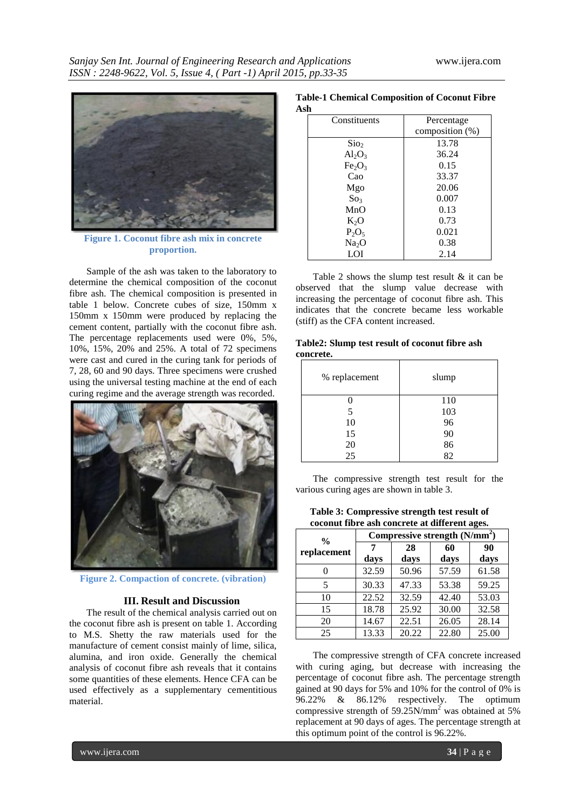

**Figure 1. Coconut fibre ash mix in concrete proportion.**

Sample of the ash was taken to the laboratory to determine the chemical composition of the coconut fibre ash. The chemical composition is presented in table 1 below. Concrete cubes of size, 150mm x 150mm x 150mm were produced by replacing the cement content, partially with the coconut fibre ash. The percentage replacements used were 0%, 5%, 10%, 15%, 20% and 25%. A total of 72 specimens were cast and cured in the curing tank for periods of 7, 28, 60 and 90 days. Three specimens were crushed using the universal testing machine at the end of each curing regime and the average strength was recorded.



**Figure 2. Compaction of concrete. (vibration)**

#### **III. Result and Discussion**

The result of the chemical analysis carried out on the coconut fibre ash is present on table 1. According to M.S. Shetty the raw materials used for the manufacture of cement consist mainly of lime, silica, alumina, and iron oxide. Generally the chemical analysis of coconut fibre ash reveals that it contains some quantities of these elements. Hence CFA can be used effectively as a supplementary cementitious material.

#### **Table-1 Chemical Composition of Coconut Fibre Ash**

| ы                              |                 |  |
|--------------------------------|-----------------|--|
| Constituents                   | Percentage      |  |
|                                | composition (%) |  |
| Sio <sub>2</sub>               | 13.78           |  |
| $Al_2O_3$                      | 36.24           |  |
| Fe <sub>2</sub> O <sub>3</sub> | 0.15            |  |
| Cao                            | 33.37           |  |
| Mgo                            | 20.06           |  |
| So <sub>3</sub>                | 0.007           |  |
| MnO                            | 0.13            |  |
| $K_2O$                         | 0.73            |  |
| $P_2O_5$                       | 0.021           |  |
| Na <sub>2</sub> O              | 0.38            |  |
| LOI                            | 2.14            |  |

Table 2 shows the slump test result & it can be observed that the slump value decrease with increasing the percentage of coconut fibre ash. This indicates that the concrete became less workable (stiff) as the CFA content increased.

| Table2: Slump test result of coconut fibre ash |  |  |
|------------------------------------------------|--|--|
| concrete.                                      |  |  |

| % replacement | slump |
|---------------|-------|
|               | 110   |
| 5             | 103   |
| 10            | 96    |
| 15            | 90    |
| 20            | 86    |
| 25            | 82    |

The compressive strength test result for the various curing ages are shown in table 3.

| Table 3: Compressive strength test result of  |
|-----------------------------------------------|
| coconut fibre ash concrete at different ages. |

| $\frac{0}{0}$ | Compressive strength $(N/mm2)$ |       |       |       |
|---------------|--------------------------------|-------|-------|-------|
| replacement   | 7                              | 28    | 60    | 90    |
|               | days                           | days  | days  | days  |
| 0             | 32.59                          | 50.96 | 57.59 | 61.58 |
| 5             | 30.33                          | 47.33 | 53.38 | 59.25 |
| 10            | 22.52                          | 32.59 | 42.40 | 53.03 |
| 15            | 18.78                          | 25.92 | 30.00 | 32.58 |
| 20            | 14.67                          | 22.51 | 26.05 | 28.14 |
| 25            | 13.33                          | 20.22 | 22.80 | 25.00 |

The compressive strength of CFA concrete increased with curing aging, but decrease with increasing the percentage of coconut fibre ash. The percentage strength gained at 90 days for 5% and 10% for the control of 0% is 96.22% & 86.12% respectively. The optimum compressive strength of 59.25N/mm<sup>2</sup> was obtained at 5% replacement at 90 days of ages. The percentage strength at this optimum point of the control is 96.22%.